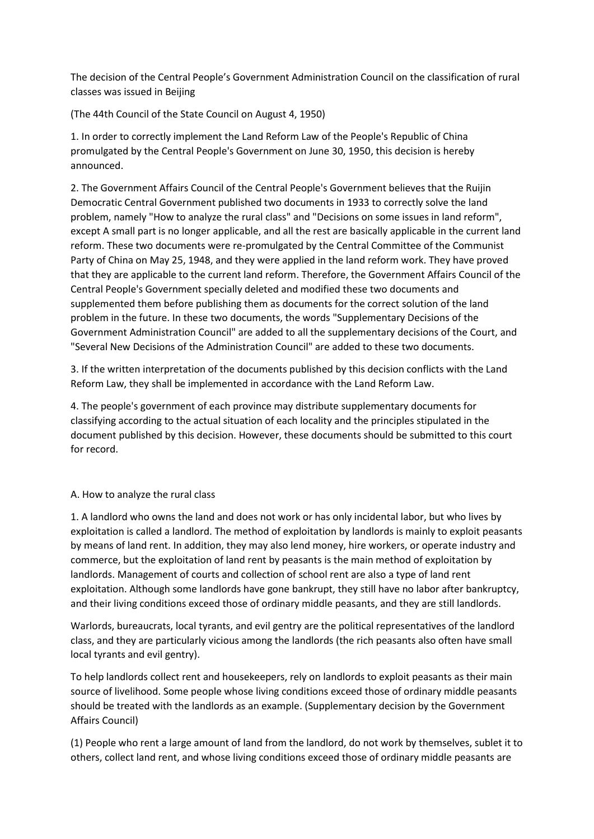The decision of the Central People's Government Administration Council on the classification of rural classes was issued in Beijing

(The 44th Council of the State Council on August 4, 1950)

1. In order to correctly implement the Land Reform Law of the People's Republic of China promulgated by the Central People's Government on June 30, 1950, this decision is hereby announced.

2. The Government Affairs Council of the Central People's Government believes that the Ruijin Democratic Central Government published two documents in 1933 to correctly solve the land problem, namely "How to analyze the rural class" and "Decisions on some issues in land reform", except A small part is no longer applicable, and all the rest are basically applicable in the current land reform. These two documents were re-promulgated by the Central Committee of the Communist Party of China on May 25, 1948, and they were applied in the land reform work. They have proved that they are applicable to the current land reform. Therefore, the Government Affairs Council of the Central People's Government specially deleted and modified these two documents and supplemented them before publishing them as documents for the correct solution of the land problem in the future. In these two documents, the words "Supplementary Decisions of the Government Administration Council" are added to all the supplementary decisions of the Court, and "Several New Decisions of the Administration Council" are added to these two documents.

3. If the written interpretation of the documents published by this decision conflicts with the Land Reform Law, they shall be implemented in accordance with the Land Reform Law.

4. The people's government of each province may distribute supplementary documents for classifying according to the actual situation of each locality and the principles stipulated in the document published by this decision. However, these documents should be submitted to this court for record.

## A. How to analyze the rural class

1. A landlord who owns the land and does not work or has only incidental labor, but who lives by exploitation is called a landlord. The method of exploitation by landlords is mainly to exploit peasants by means of land rent. In addition, they may also lend money, hire workers, or operate industry and commerce, but the exploitation of land rent by peasants is the main method of exploitation by landlords. Management of courts and collection of school rent are also a type of land rent exploitation. Although some landlords have gone bankrupt, they still have no labor after bankruptcy, and their living conditions exceed those of ordinary middle peasants, and they are still landlords.

Warlords, bureaucrats, local tyrants, and evil gentry are the political representatives of the landlord class, and they are particularly vicious among the landlords (the rich peasants also often have small local tyrants and evil gentry).

To help landlords collect rent and housekeepers, rely on landlords to exploit peasants as their main source of livelihood. Some people whose living conditions exceed those of ordinary middle peasants should be treated with the landlords as an example. (Supplementary decision by the Government Affairs Council)

(1) People who rent a large amount of land from the landlord, do not work by themselves, sublet it to others, collect land rent, and whose living conditions exceed those of ordinary middle peasants are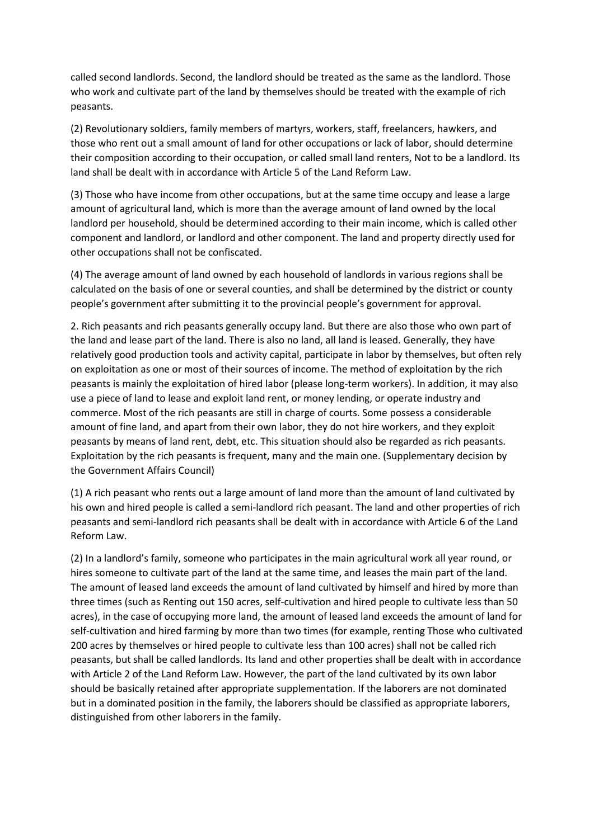called second landlords. Second, the landlord should be treated as the same as the landlord. Those who work and cultivate part of the land by themselves should be treated with the example of rich peasants.

(2) Revolutionary soldiers, family members of martyrs, workers, staff, freelancers, hawkers, and those who rent out a small amount of land for other occupations or lack of labor, should determine their composition according to their occupation, or called small land renters, Not to be a landlord. Its land shall be dealt with in accordance with Article 5 of the Land Reform Law.

(3) Those who have income from other occupations, but at the same time occupy and lease a large amount of agricultural land, which is more than the average amount of land owned by the local landlord per household, should be determined according to their main income, which is called other component and landlord, or landlord and other component. The land and property directly used for other occupations shall not be confiscated.

(4) The average amount of land owned by each household of landlords in various regions shall be calculated on the basis of one or several counties, and shall be determined by the district or county people's government after submitting it to the provincial people's government for approval.

2. Rich peasants and rich peasants generally occupy land. But there are also those who own part of the land and lease part of the land. There is also no land, all land is leased. Generally, they have relatively good production tools and activity capital, participate in labor by themselves, but often rely on exploitation as one or most of their sources of income. The method of exploitation by the rich peasants is mainly the exploitation of hired labor (please long-term workers). In addition, it may also use a piece of land to lease and exploit land rent, or money lending, or operate industry and commerce. Most of the rich peasants are still in charge of courts. Some possess a considerable amount of fine land, and apart from their own labor, they do not hire workers, and they exploit peasants by means of land rent, debt, etc. This situation should also be regarded as rich peasants. Exploitation by the rich peasants is frequent, many and the main one. (Supplementary decision by the Government Affairs Council)

(1) A rich peasant who rents out a large amount of land more than the amount of land cultivated by his own and hired people is called a semi-landlord rich peasant. The land and other properties of rich peasants and semi-landlord rich peasants shall be dealt with in accordance with Article 6 of the Land Reform Law.

(2) In a landlord's family, someone who participates in the main agricultural work all year round, or hires someone to cultivate part of the land at the same time, and leases the main part of the land. The amount of leased land exceeds the amount of land cultivated by himself and hired by more than three times (such as Renting out 150 acres, self-cultivation and hired people to cultivate less than 50 acres), in the case of occupying more land, the amount of leased land exceeds the amount of land for self-cultivation and hired farming by more than two times (for example, renting Those who cultivated 200 acres by themselves or hired people to cultivate less than 100 acres) shall not be called rich peasants, but shall be called landlords. Its land and other properties shall be dealt with in accordance with Article 2 of the Land Reform Law. However, the part of the land cultivated by its own labor should be basically retained after appropriate supplementation. If the laborers are not dominated but in a dominated position in the family, the laborers should be classified as appropriate laborers, distinguished from other laborers in the family.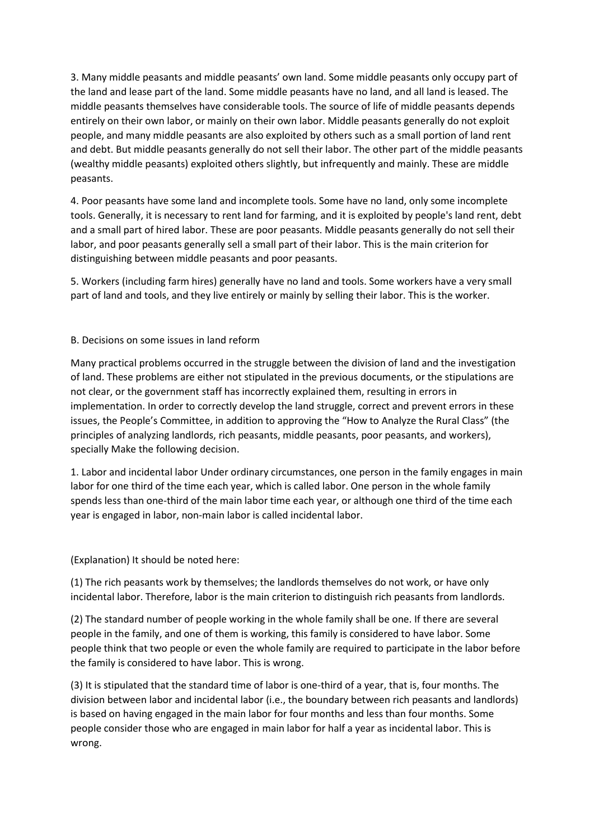3. Many middle peasants and middle peasants' own land. Some middle peasants only occupy part of the land and lease part of the land. Some middle peasants have no land, and all land is leased. The middle peasants themselves have considerable tools. The source of life of middle peasants depends entirely on their own labor, or mainly on their own labor. Middle peasants generally do not exploit people, and many middle peasants are also exploited by others such as a small portion of land rent and debt. But middle peasants generally do not sell their labor. The other part of the middle peasants (wealthy middle peasants) exploited others slightly, but infrequently and mainly. These are middle peasants.

4. Poor peasants have some land and incomplete tools. Some have no land, only some incomplete tools. Generally, it is necessary to rent land for farming, and it is exploited by people's land rent, debt and a small part of hired labor. These are poor peasants. Middle peasants generally do not sell their labor, and poor peasants generally sell a small part of their labor. This is the main criterion for distinguishing between middle peasants and poor peasants.

5. Workers (including farm hires) generally have no land and tools. Some workers have a very small part of land and tools, and they live entirely or mainly by selling their labor. This is the worker.

#### B. Decisions on some issues in land reform

Many practical problems occurred in the struggle between the division of land and the investigation of land. These problems are either not stipulated in the previous documents, or the stipulations are not clear, or the government staff has incorrectly explained them, resulting in errors in implementation. In order to correctly develop the land struggle, correct and prevent errors in these issues, the People's Committee, in addition to approving the "How to Analyze the Rural Class" (the principles of analyzing landlords, rich peasants, middle peasants, poor peasants, and workers), specially Make the following decision.

1. Labor and incidental labor Under ordinary circumstances, one person in the family engages in main labor for one third of the time each year, which is called labor. One person in the whole family spends less than one-third of the main labor time each year, or although one third of the time each year is engaged in labor, non-main labor is called incidental labor.

(Explanation) It should be noted here:

(1) The rich peasants work by themselves; the landlords themselves do not work, or have only incidental labor. Therefore, labor is the main criterion to distinguish rich peasants from landlords.

(2) The standard number of people working in the whole family shall be one. If there are several people in the family, and one of them is working, this family is considered to have labor. Some people think that two people or even the whole family are required to participate in the labor before the family is considered to have labor. This is wrong.

(3) It is stipulated that the standard time of labor is one-third of a year, that is, four months. The division between labor and incidental labor (i.e., the boundary between rich peasants and landlords) is based on having engaged in the main labor for four months and less than four months. Some people consider those who are engaged in main labor for half a year as incidental labor. This is wrong.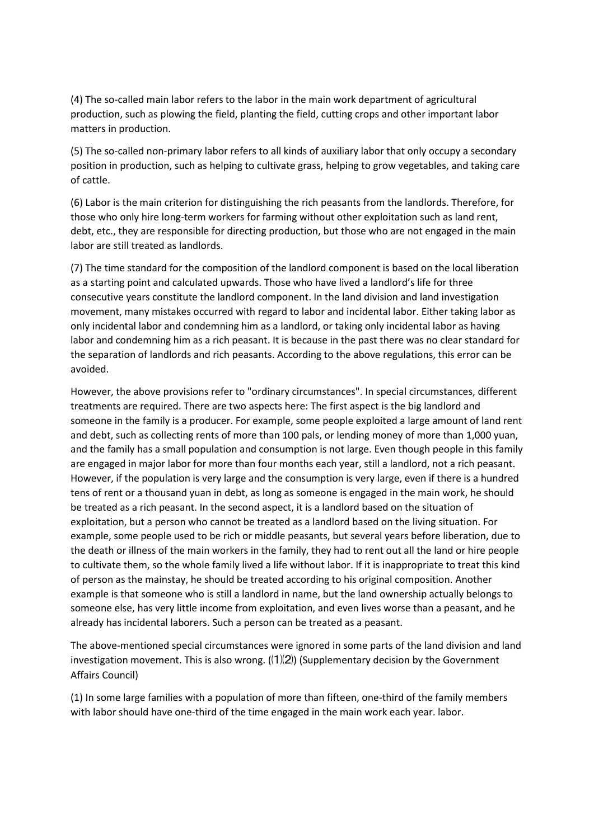(4) The so-called main labor refers to the labor in the main work department of agricultural production, such as plowing the field, planting the field, cutting crops and other important labor matters in production.

(5) The so-called non-primary labor refers to all kinds of auxiliary labor that only occupy a secondary position in production, such as helping to cultivate grass, helping to grow vegetables, and taking care of cattle.

(6) Labor is the main criterion for distinguishing the rich peasants from the landlords. Therefore, for those who only hire long-term workers for farming without other exploitation such as land rent, debt, etc., they are responsible for directing production, but those who are not engaged in the main labor are still treated as landlords.

(7) The time standard for the composition of the landlord component is based on the local liberation as a starting point and calculated upwards. Those who have lived a landlord's life for three consecutive years constitute the landlord component. In the land division and land investigation movement, many mistakes occurred with regard to labor and incidental labor. Either taking labor as only incidental labor and condemning him as a landlord, or taking only incidental labor as having labor and condemning him as a rich peasant. It is because in the past there was no clear standard for the separation of landlords and rich peasants. According to the above regulations, this error can be avoided.

However, the above provisions refer to "ordinary circumstances". In special circumstances, different treatments are required. There are two aspects here: The first aspect is the big landlord and someone in the family is a producer. For example, some people exploited a large amount of land rent and debt, such as collecting rents of more than 100 pals, or lending money of more than 1,000 yuan, and the family has a small population and consumption is not large. Even though people in this family are engaged in major labor for more than four months each year, still a landlord, not a rich peasant. However, if the population is very large and the consumption is very large, even if there is a hundred tens of rent or a thousand yuan in debt, as long as someone is engaged in the main work, he should be treated as a rich peasant. In the second aspect, it is a landlord based on the situation of exploitation, but a person who cannot be treated as a landlord based on the living situation. For example, some people used to be rich or middle peasants, but several years before liberation, due to the death or illness of the main workers in the family, they had to rent out all the land or hire people to cultivate them, so the whole family lived a life without labor. If it is inappropriate to treat this kind of person as the mainstay, he should be treated according to his original composition. Another example is that someone who is still a landlord in name, but the land ownership actually belongs to someone else, has very little income from exploitation, and even lives worse than a peasant, and he already has incidental laborers. Such a person can be treated as a peasant.

The above-mentioned special circumstances were ignored in some parts of the land division and land investigation movement. This is also wrong.  $(\frac{1}{2})$  (Supplementary decision by the Government Affairs Council)

(1) In some large families with a population of more than fifteen, one-third of the family members with labor should have one-third of the time engaged in the main work each year. labor.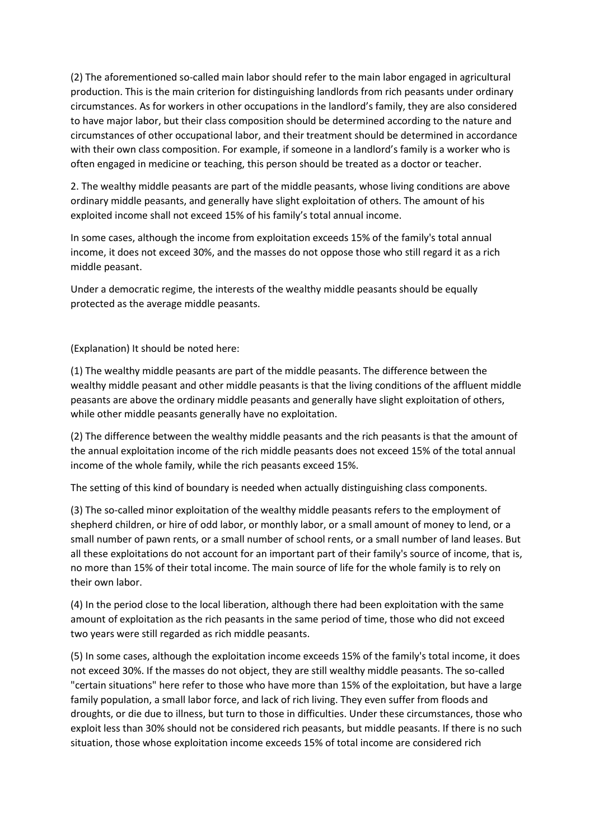(2) The aforementioned so-called main labor should refer to the main labor engaged in agricultural production. This is the main criterion for distinguishing landlords from rich peasants under ordinary circumstances. As for workers in other occupations in the landlord's family, they are also considered to have major labor, but their class composition should be determined according to the nature and circumstances of other occupational labor, and their treatment should be determined in accordance with their own class composition. For example, if someone in a landlord's family is a worker who is often engaged in medicine or teaching, this person should be treated as a doctor or teacher.

2. The wealthy middle peasants are part of the middle peasants, whose living conditions are above ordinary middle peasants, and generally have slight exploitation of others. The amount of his exploited income shall not exceed 15% of his family's total annual income.

In some cases, although the income from exploitation exceeds 15% of the family's total annual income, it does not exceed 30%, and the masses do not oppose those who still regard it as a rich middle peasant.

Under a democratic regime, the interests of the wealthy middle peasants should be equally protected as the average middle peasants.

(Explanation) It should be noted here:

(1) The wealthy middle peasants are part of the middle peasants. The difference between the wealthy middle peasant and other middle peasants is that the living conditions of the affluent middle peasants are above the ordinary middle peasants and generally have slight exploitation of others, while other middle peasants generally have no exploitation.

(2) The difference between the wealthy middle peasants and the rich peasants is that the amount of the annual exploitation income of the rich middle peasants does not exceed 15% of the total annual income of the whole family, while the rich peasants exceed 15%.

The setting of this kind of boundary is needed when actually distinguishing class components.

(3) The so-called minor exploitation of the wealthy middle peasants refers to the employment of shepherd children, or hire of odd labor, or monthly labor, or a small amount of money to lend, or a small number of pawn rents, or a small number of school rents, or a small number of land leases. But all these exploitations do not account for an important part of their family's source of income, that is, no more than 15% of their total income. The main source of life for the whole family is to rely on their own labor.

(4) In the period close to the local liberation, although there had been exploitation with the same amount of exploitation as the rich peasants in the same period of time, those who did not exceed two years were still regarded as rich middle peasants.

(5) In some cases, although the exploitation income exceeds 15% of the family's total income, it does not exceed 30%. If the masses do not object, they are still wealthy middle peasants. The so-called "certain situations" here refer to those who have more than 15% of the exploitation, but have a large family population, a small labor force, and lack of rich living. They even suffer from floods and droughts, or die due to illness, but turn to those in difficulties. Under these circumstances, those who exploit less than 30% should not be considered rich peasants, but middle peasants. If there is no such situation, those whose exploitation income exceeds 15% of total income are considered rich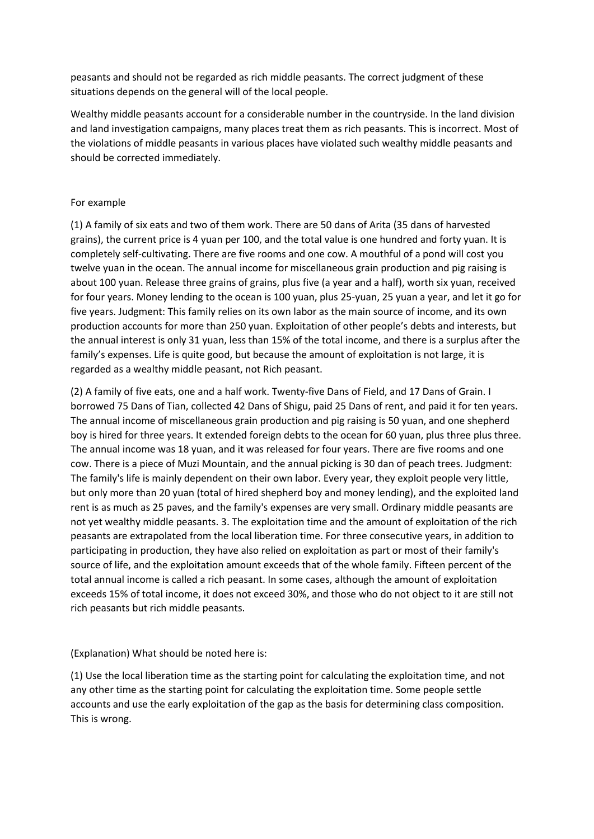peasants and should not be regarded as rich middle peasants. The correct judgment of these situations depends on the general will of the local people.

Wealthy middle peasants account for a considerable number in the countryside. In the land division and land investigation campaigns, many places treat them as rich peasants. This is incorrect. Most of the violations of middle peasants in various places have violated such wealthy middle peasants and should be corrected immediately.

#### For example

(1) A family of six eats and two of them work. There are 50 dans of Arita (35 dans of harvested grains), the current price is 4 yuan per 100, and the total value is one hundred and forty yuan. It is completely self-cultivating. There are five rooms and one cow. A mouthful of a pond will cost you twelve yuan in the ocean. The annual income for miscellaneous grain production and pig raising is about 100 yuan. Release three grains of grains, plus five (a year and a half), worth six yuan, received for four years. Money lending to the ocean is 100 yuan, plus 25-yuan, 25 yuan a year, and let it go for five years. Judgment: This family relies on its own labor as the main source of income, and its own production accounts for more than 250 yuan. Exploitation of other people's debts and interests, but the annual interest is only 31 yuan, less than 15% of the total income, and there is a surplus after the family's expenses. Life is quite good, but because the amount of exploitation is not large, it is regarded as a wealthy middle peasant, not Rich peasant.

(2) A family of five eats, one and a half work. Twenty-five Dans of Field, and 17 Dans of Grain. I borrowed 75 Dans of Tian, collected 42 Dans of Shigu, paid 25 Dans of rent, and paid it for ten years. The annual income of miscellaneous grain production and pig raising is 50 yuan, and one shepherd boy is hired for three years. It extended foreign debts to the ocean for 60 yuan, plus three plus three. The annual income was 18 yuan, and it was released for four years. There are five rooms and one cow. There is a piece of Muzi Mountain, and the annual picking is 30 dan of peach trees. Judgment: The family's life is mainly dependent on their own labor. Every year, they exploit people very little, but only more than 20 yuan (total of hired shepherd boy and money lending), and the exploited land rent is as much as 25 paves, and the family's expenses are very small. Ordinary middle peasants are not yet wealthy middle peasants. 3. The exploitation time and the amount of exploitation of the rich peasants are extrapolated from the local liberation time. For three consecutive years, in addition to participating in production, they have also relied on exploitation as part or most of their family's source of life, and the exploitation amount exceeds that of the whole family. Fifteen percent of the total annual income is called a rich peasant. In some cases, although the amount of exploitation exceeds 15% of total income, it does not exceed 30%, and those who do not object to it are still not rich peasants but rich middle peasants.

(Explanation) What should be noted here is:

(1) Use the local liberation time as the starting point for calculating the exploitation time, and not any other time as the starting point for calculating the exploitation time. Some people settle accounts and use the early exploitation of the gap as the basis for determining class composition. This is wrong.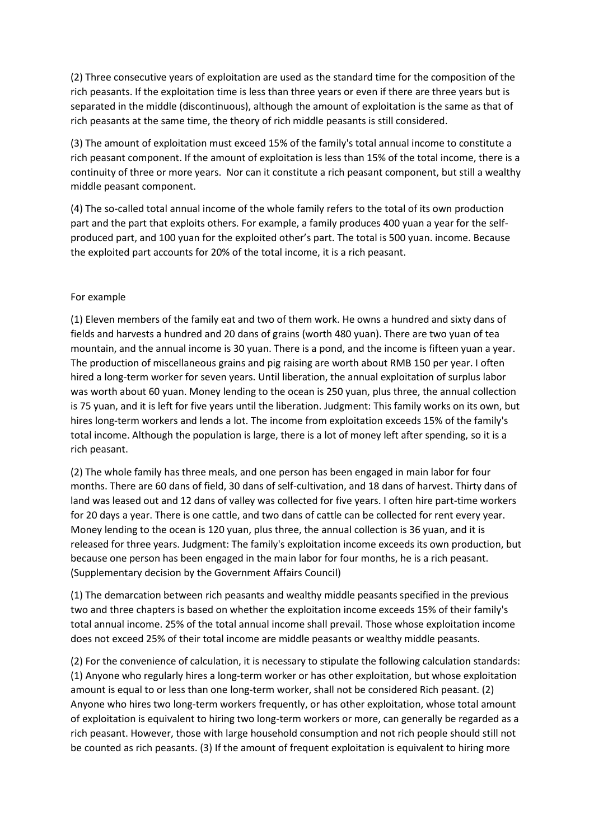(2) Three consecutive years of exploitation are used as the standard time for the composition of the rich peasants. If the exploitation time is less than three years or even if there are three years but is separated in the middle (discontinuous), although the amount of exploitation is the same as that of rich peasants at the same time, the theory of rich middle peasants is still considered.

(3) The amount of exploitation must exceed 15% of the family's total annual income to constitute a rich peasant component. If the amount of exploitation is less than 15% of the total income, there is a continuity of three or more years. Nor can it constitute a rich peasant component, but still a wealthy middle peasant component.

(4) The so-called total annual income of the whole family refers to the total of its own production part and the part that exploits others. For example, a family produces 400 yuan a year for the selfproduced part, and 100 yuan for the exploited other's part. The total is 500 yuan. income. Because the exploited part accounts for 20% of the total income, it is a rich peasant.

#### For example

(1) Eleven members of the family eat and two of them work. He owns a hundred and sixty dans of fields and harvests a hundred and 20 dans of grains (worth 480 yuan). There are two yuan of tea mountain, and the annual income is 30 yuan. There is a pond, and the income is fifteen yuan a year. The production of miscellaneous grains and pig raising are worth about RMB 150 per year. I often hired a long-term worker for seven years. Until liberation, the annual exploitation of surplus labor was worth about 60 yuan. Money lending to the ocean is 250 yuan, plus three, the annual collection is 75 yuan, and it is left for five years until the liberation. Judgment: This family works on its own, but hires long-term workers and lends a lot. The income from exploitation exceeds 15% of the family's total income. Although the population is large, there is a lot of money left after spending, so it is a rich peasant.

(2) The whole family has three meals, and one person has been engaged in main labor for four months. There are 60 dans of field, 30 dans of self-cultivation, and 18 dans of harvest. Thirty dans of land was leased out and 12 dans of valley was collected for five years. I often hire part-time workers for 20 days a year. There is one cattle, and two dans of cattle can be collected for rent every year. Money lending to the ocean is 120 yuan, plus three, the annual collection is 36 yuan, and it is released for three years. Judgment: The family's exploitation income exceeds its own production, but because one person has been engaged in the main labor for four months, he is a rich peasant. (Supplementary decision by the Government Affairs Council)

(1) The demarcation between rich peasants and wealthy middle peasants specified in the previous two and three chapters is based on whether the exploitation income exceeds 15% of their family's total annual income. 25% of the total annual income shall prevail. Those whose exploitation income does not exceed 25% of their total income are middle peasants or wealthy middle peasants.

(2) For the convenience of calculation, it is necessary to stipulate the following calculation standards: (1) Anyone who regularly hires a long-term worker or has other exploitation, but whose exploitation amount is equal to or less than one long-term worker, shall not be considered Rich peasant. (2) Anyone who hires two long-term workers frequently, or has other exploitation, whose total amount of exploitation is equivalent to hiring two long-term workers or more, can generally be regarded as a rich peasant. However, those with large household consumption and not rich people should still not be counted as rich peasants. (3) If the amount of frequent exploitation is equivalent to hiring more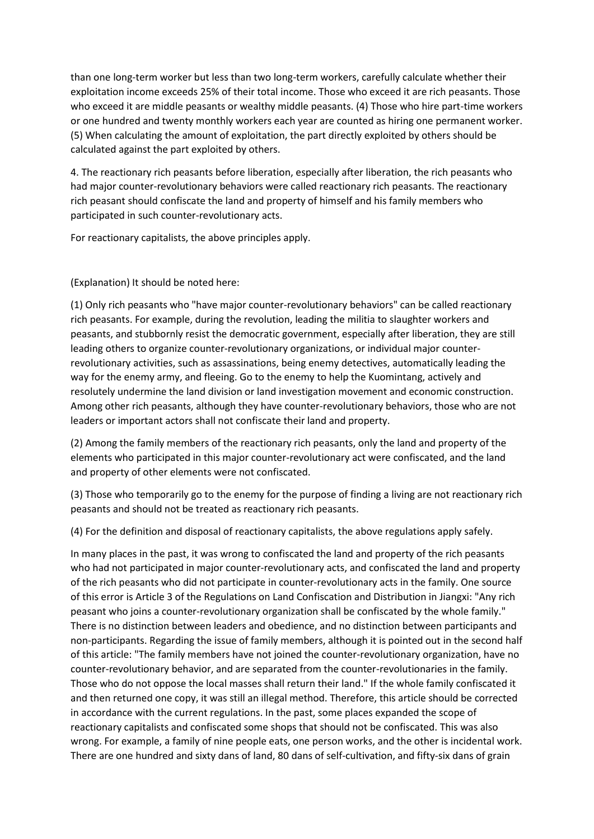than one long-term worker but less than two long-term workers, carefully calculate whether their exploitation income exceeds 25% of their total income. Those who exceed it are rich peasants. Those who exceed it are middle peasants or wealthy middle peasants. (4) Those who hire part-time workers or one hundred and twenty monthly workers each year are counted as hiring one permanent worker. (5) When calculating the amount of exploitation, the part directly exploited by others should be calculated against the part exploited by others.

4. The reactionary rich peasants before liberation, especially after liberation, the rich peasants who had major counter-revolutionary behaviors were called reactionary rich peasants. The reactionary rich peasant should confiscate the land and property of himself and his family members who participated in such counter-revolutionary acts.

For reactionary capitalists, the above principles apply.

(Explanation) It should be noted here:

(1) Only rich peasants who "have major counter-revolutionary behaviors" can be called reactionary rich peasants. For example, during the revolution, leading the militia to slaughter workers and peasants, and stubbornly resist the democratic government, especially after liberation, they are still leading others to organize counter-revolutionary organizations, or individual major counterrevolutionary activities, such as assassinations, being enemy detectives, automatically leading the way for the enemy army, and fleeing. Go to the enemy to help the Kuomintang, actively and resolutely undermine the land division or land investigation movement and economic construction. Among other rich peasants, although they have counter-revolutionary behaviors, those who are not leaders or important actors shall not confiscate their land and property.

(2) Among the family members of the reactionary rich peasants, only the land and property of the elements who participated in this major counter-revolutionary act were confiscated, and the land and property of other elements were not confiscated.

(3) Those who temporarily go to the enemy for the purpose of finding a living are not reactionary rich peasants and should not be treated as reactionary rich peasants.

(4) For the definition and disposal of reactionary capitalists, the above regulations apply safely.

In many places in the past, it was wrong to confiscated the land and property of the rich peasants who had not participated in major counter-revolutionary acts, and confiscated the land and property of the rich peasants who did not participate in counter-revolutionary acts in the family. One source of this error is Article 3 of the Regulations on Land Confiscation and Distribution in Jiangxi: "Any rich peasant who joins a counter-revolutionary organization shall be confiscated by the whole family." There is no distinction between leaders and obedience, and no distinction between participants and non-participants. Regarding the issue of family members, although it is pointed out in the second half of this article: "The family members have not joined the counter-revolutionary organization, have no counter-revolutionary behavior, and are separated from the counter-revolutionaries in the family. Those who do not oppose the local masses shall return their land." If the whole family confiscated it and then returned one copy, it was still an illegal method. Therefore, this article should be corrected in accordance with the current regulations. In the past, some places expanded the scope of reactionary capitalists and confiscated some shops that should not be confiscated. This was also wrong. For example, a family of nine people eats, one person works, and the other is incidental work. There are one hundred and sixty dans of land, 80 dans of self-cultivation, and fifty-six dans of grain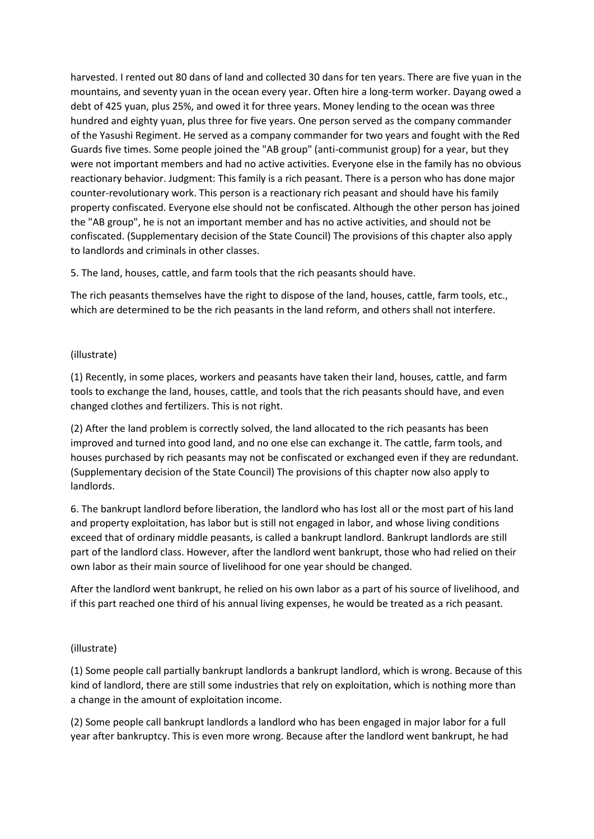harvested. I rented out 80 dans of land and collected 30 dans for ten years. There are five yuan in the mountains, and seventy yuan in the ocean every year. Often hire a long-term worker. Dayang owed a debt of 425 yuan, plus 25%, and owed it for three years. Money lending to the ocean was three hundred and eighty yuan, plus three for five years. One person served as the company commander of the Yasushi Regiment. He served as a company commander for two years and fought with the Red Guards five times. Some people joined the "AB group" (anti-communist group) for a year, but they were not important members and had no active activities. Everyone else in the family has no obvious reactionary behavior. Judgment: This family is a rich peasant. There is a person who has done major counter-revolutionary work. This person is a reactionary rich peasant and should have his family property confiscated. Everyone else should not be confiscated. Although the other person has joined the "AB group", he is not an important member and has no active activities, and should not be confiscated. (Supplementary decision of the State Council) The provisions of this chapter also apply to landlords and criminals in other classes.

5. The land, houses, cattle, and farm tools that the rich peasants should have.

The rich peasants themselves have the right to dispose of the land, houses, cattle, farm tools, etc., which are determined to be the rich peasants in the land reform, and others shall not interfere.

# (illustrate)

(1) Recently, in some places, workers and peasants have taken their land, houses, cattle, and farm tools to exchange the land, houses, cattle, and tools that the rich peasants should have, and even changed clothes and fertilizers. This is not right.

(2) After the land problem is correctly solved, the land allocated to the rich peasants has been improved and turned into good land, and no one else can exchange it. The cattle, farm tools, and houses purchased by rich peasants may not be confiscated or exchanged even if they are redundant. (Supplementary decision of the State Council) The provisions of this chapter now also apply to landlords.

6. The bankrupt landlord before liberation, the landlord who has lost all or the most part of his land and property exploitation, has labor but is still not engaged in labor, and whose living conditions exceed that of ordinary middle peasants, is called a bankrupt landlord. Bankrupt landlords are still part of the landlord class. However, after the landlord went bankrupt, those who had relied on their own labor as their main source of livelihood for one year should be changed.

After the landlord went bankrupt, he relied on his own labor as a part of his source of livelihood, and if this part reached one third of his annual living expenses, he would be treated as a rich peasant.

# (illustrate)

(1) Some people call partially bankrupt landlords a bankrupt landlord, which is wrong. Because of this kind of landlord, there are still some industries that rely on exploitation, which is nothing more than a change in the amount of exploitation income.

(2) Some people call bankrupt landlords a landlord who has been engaged in major labor for a full year after bankruptcy. This is even more wrong. Because after the landlord went bankrupt, he had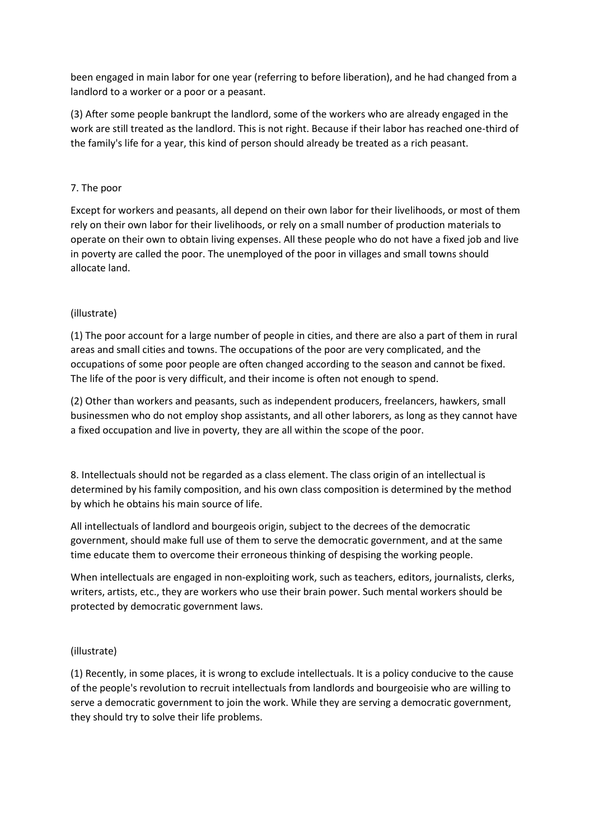been engaged in main labor for one year (referring to before liberation), and he had changed from a landlord to a worker or a poor or a peasant.

(3) After some people bankrupt the landlord, some of the workers who are already engaged in the work are still treated as the landlord. This is not right. Because if their labor has reached one-third of the family's life for a year, this kind of person should already be treated as a rich peasant.

#### 7. The poor

Except for workers and peasants, all depend on their own labor for their livelihoods, or most of them rely on their own labor for their livelihoods, or rely on a small number of production materials to operate on their own to obtain living expenses. All these people who do not have a fixed job and live in poverty are called the poor. The unemployed of the poor in villages and small towns should allocate land.

## (illustrate)

(1) The poor account for a large number of people in cities, and there are also a part of them in rural areas and small cities and towns. The occupations of the poor are very complicated, and the occupations of some poor people are often changed according to the season and cannot be fixed. The life of the poor is very difficult, and their income is often not enough to spend.

(2) Other than workers and peasants, such as independent producers, freelancers, hawkers, small businessmen who do not employ shop assistants, and all other laborers, as long as they cannot have a fixed occupation and live in poverty, they are all within the scope of the poor.

8. Intellectuals should not be regarded as a class element. The class origin of an intellectual is determined by his family composition, and his own class composition is determined by the method by which he obtains his main source of life.

All intellectuals of landlord and bourgeois origin, subject to the decrees of the democratic government, should make full use of them to serve the democratic government, and at the same time educate them to overcome their erroneous thinking of despising the working people.

When intellectuals are engaged in non-exploiting work, such as teachers, editors, journalists, clerks, writers, artists, etc., they are workers who use their brain power. Such mental workers should be protected by democratic government laws.

#### (illustrate)

(1) Recently, in some places, it is wrong to exclude intellectuals. It is a policy conducive to the cause of the people's revolution to recruit intellectuals from landlords and bourgeoisie who are willing to serve a democratic government to join the work. While they are serving a democratic government, they should try to solve their life problems.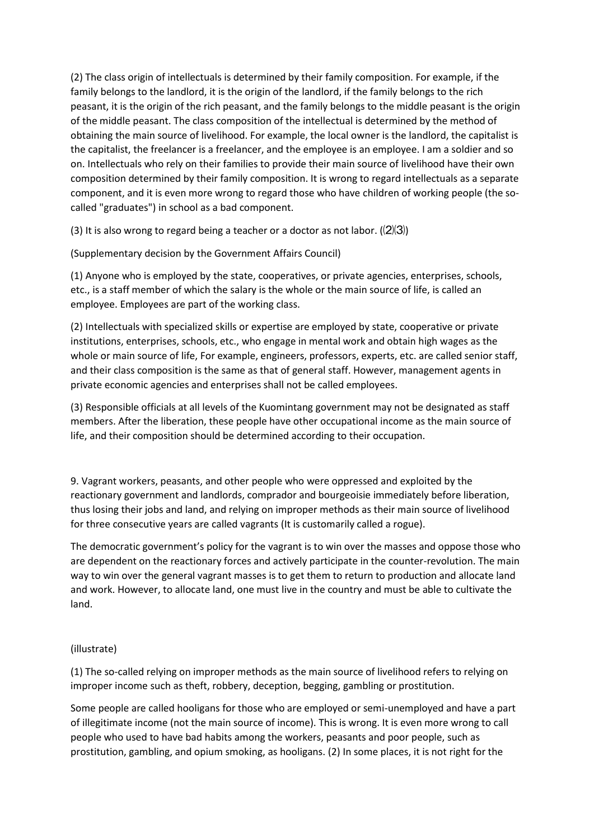(2) The class origin of intellectuals is determined by their family composition. For example, if the family belongs to the landlord, it is the origin of the landlord, if the family belongs to the rich peasant, it is the origin of the rich peasant, and the family belongs to the middle peasant is the origin of the middle peasant. The class composition of the intellectual is determined by the method of obtaining the main source of livelihood. For example, the local owner is the landlord, the capitalist is the capitalist, the freelancer is a freelancer, and the employee is an employee. I am a soldier and so on. Intellectuals who rely on their families to provide their main source of livelihood have their own composition determined by their family composition. It is wrong to regard intellectuals as a separate component, and it is even more wrong to regard those who have children of working people (the socalled "graduates") in school as a bad component.

(3) It is also wrong to regard being a teacher or a doctor as not labor.  $(\frac{2}{3})$ 

(Supplementary decision by the Government Affairs Council)

(1) Anyone who is employed by the state, cooperatives, or private agencies, enterprises, schools, etc., is a staff member of which the salary is the whole or the main source of life, is called an employee. Employees are part of the working class.

(2) Intellectuals with specialized skills or expertise are employed by state, cooperative or private institutions, enterprises, schools, etc., who engage in mental work and obtain high wages as the whole or main source of life, For example, engineers, professors, experts, etc. are called senior staff, and their class composition is the same as that of general staff. However, management agents in private economic agencies and enterprises shall not be called employees.

(3) Responsible officials at all levels of the Kuomintang government may not be designated as staff members. After the liberation, these people have other occupational income as the main source of life, and their composition should be determined according to their occupation.

9. Vagrant workers, peasants, and other people who were oppressed and exploited by the reactionary government and landlords, comprador and bourgeoisie immediately before liberation, thus losing their jobs and land, and relying on improper methods as their main source of livelihood for three consecutive years are called vagrants (It is customarily called a rogue).

The democratic government's policy for the vagrant is to win over the masses and oppose those who are dependent on the reactionary forces and actively participate in the counter-revolution. The main way to win over the general vagrant masses is to get them to return to production and allocate land and work. However, to allocate land, one must live in the country and must be able to cultivate the land.

#### (illustrate)

(1) The so-called relying on improper methods as the main source of livelihood refers to relying on improper income such as theft, robbery, deception, begging, gambling or prostitution.

Some people are called hooligans for those who are employed or semi-unemployed and have a part of illegitimate income (not the main source of income). This is wrong. It is even more wrong to call people who used to have bad habits among the workers, peasants and poor people, such as prostitution, gambling, and opium smoking, as hooligans. (2) In some places, it is not right for the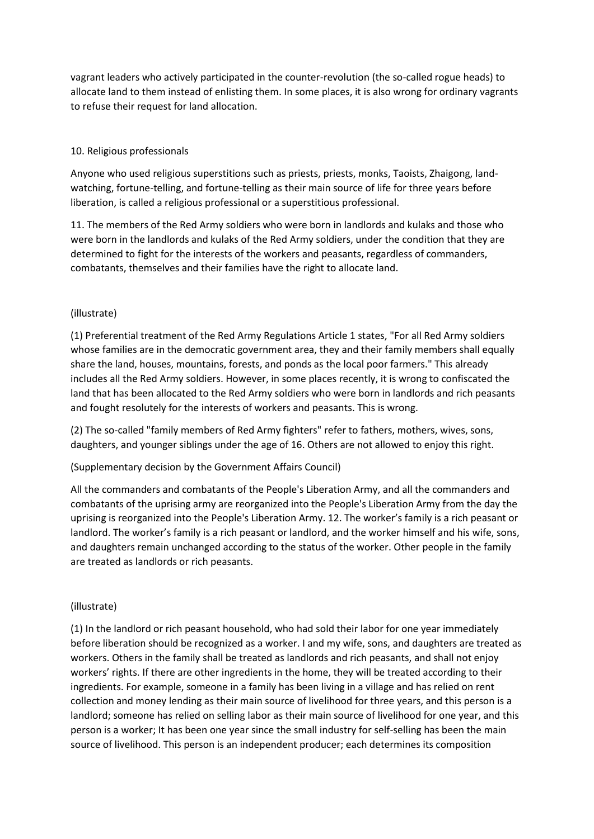vagrant leaders who actively participated in the counter-revolution (the so-called rogue heads) to allocate land to them instead of enlisting them. In some places, it is also wrong for ordinary vagrants to refuse their request for land allocation.

# 10. Religious professionals

Anyone who used religious superstitions such as priests, priests, monks, Taoists, Zhaigong, landwatching, fortune-telling, and fortune-telling as their main source of life for three years before liberation, is called a religious professional or a superstitious professional.

11. The members of the Red Army soldiers who were born in landlords and kulaks and those who were born in the landlords and kulaks of the Red Army soldiers, under the condition that they are determined to fight for the interests of the workers and peasants, regardless of commanders, combatants, themselves and their families have the right to allocate land.

## (illustrate)

(1) Preferential treatment of the Red Army Regulations Article 1 states, "For all Red Army soldiers whose families are in the democratic government area, they and their family members shall equally share the land, houses, mountains, forests, and ponds as the local poor farmers." This already includes all the Red Army soldiers. However, in some places recently, it is wrong to confiscated the land that has been allocated to the Red Army soldiers who were born in landlords and rich peasants and fought resolutely for the interests of workers and peasants. This is wrong.

(2) The so-called "family members of Red Army fighters" refer to fathers, mothers, wives, sons, daughters, and younger siblings under the age of 16. Others are not allowed to enjoy this right.

## (Supplementary decision by the Government Affairs Council)

All the commanders and combatants of the People's Liberation Army, and all the commanders and combatants of the uprising army are reorganized into the People's Liberation Army from the day the uprising is reorganized into the People's Liberation Army. 12. The worker's family is a rich peasant or landlord. The worker's family is a rich peasant or landlord, and the worker himself and his wife, sons, and daughters remain unchanged according to the status of the worker. Other people in the family are treated as landlords or rich peasants.

## (illustrate)

(1) In the landlord or rich peasant household, who had sold their labor for one year immediately before liberation should be recognized as a worker. I and my wife, sons, and daughters are treated as workers. Others in the family shall be treated as landlords and rich peasants, and shall not enjoy workers' rights. If there are other ingredients in the home, they will be treated according to their ingredients. For example, someone in a family has been living in a village and has relied on rent collection and money lending as their main source of livelihood for three years, and this person is a landlord; someone has relied on selling labor as their main source of livelihood for one year, and this person is a worker; It has been one year since the small industry for self-selling has been the main source of livelihood. This person is an independent producer; each determines its composition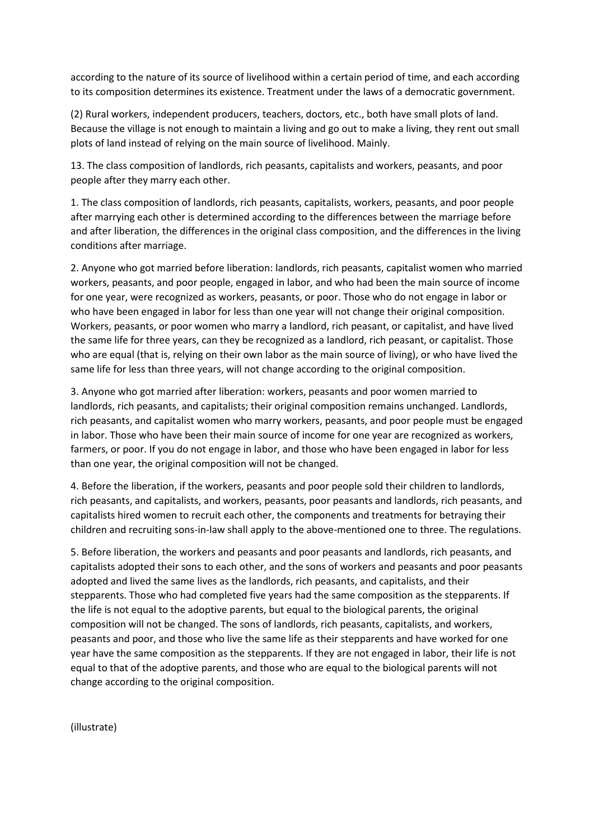according to the nature of its source of livelihood within a certain period of time, and each according to its composition determines its existence. Treatment under the laws of a democratic government.

(2) Rural workers, independent producers, teachers, doctors, etc., both have small plots of land. Because the village is not enough to maintain a living and go out to make a living, they rent out small plots of land instead of relying on the main source of livelihood. Mainly.

13. The class composition of landlords, rich peasants, capitalists and workers, peasants, and poor people after they marry each other.

1. The class composition of landlords, rich peasants, capitalists, workers, peasants, and poor people after marrying each other is determined according to the differences between the marriage before and after liberation, the differences in the original class composition, and the differences in the living conditions after marriage.

2. Anyone who got married before liberation: landlords, rich peasants, capitalist women who married workers, peasants, and poor people, engaged in labor, and who had been the main source of income for one year, were recognized as workers, peasants, or poor. Those who do not engage in labor or who have been engaged in labor for less than one year will not change their original composition. Workers, peasants, or poor women who marry a landlord, rich peasant, or capitalist, and have lived the same life for three years, can they be recognized as a landlord, rich peasant, or capitalist. Those who are equal (that is, relying on their own labor as the main source of living), or who have lived the same life for less than three years, will not change according to the original composition.

3. Anyone who got married after liberation: workers, peasants and poor women married to landlords, rich peasants, and capitalists; their original composition remains unchanged. Landlords, rich peasants, and capitalist women who marry workers, peasants, and poor people must be engaged in labor. Those who have been their main source of income for one year are recognized as workers, farmers, or poor. If you do not engage in labor, and those who have been engaged in labor for less than one year, the original composition will not be changed.

4. Before the liberation, if the workers, peasants and poor people sold their children to landlords, rich peasants, and capitalists, and workers, peasants, poor peasants and landlords, rich peasants, and capitalists hired women to recruit each other, the components and treatments for betraying their children and recruiting sons-in-law shall apply to the above-mentioned one to three. The regulations.

5. Before liberation, the workers and peasants and poor peasants and landlords, rich peasants, and capitalists adopted their sons to each other, and the sons of workers and peasants and poor peasants adopted and lived the same lives as the landlords, rich peasants, and capitalists, and their stepparents. Those who had completed five years had the same composition as the stepparents. If the life is not equal to the adoptive parents, but equal to the biological parents, the original composition will not be changed. The sons of landlords, rich peasants, capitalists, and workers, peasants and poor, and those who live the same life as their stepparents and have worked for one year have the same composition as the stepparents. If they are not engaged in labor, their life is not equal to that of the adoptive parents, and those who are equal to the biological parents will not change according to the original composition.

(illustrate)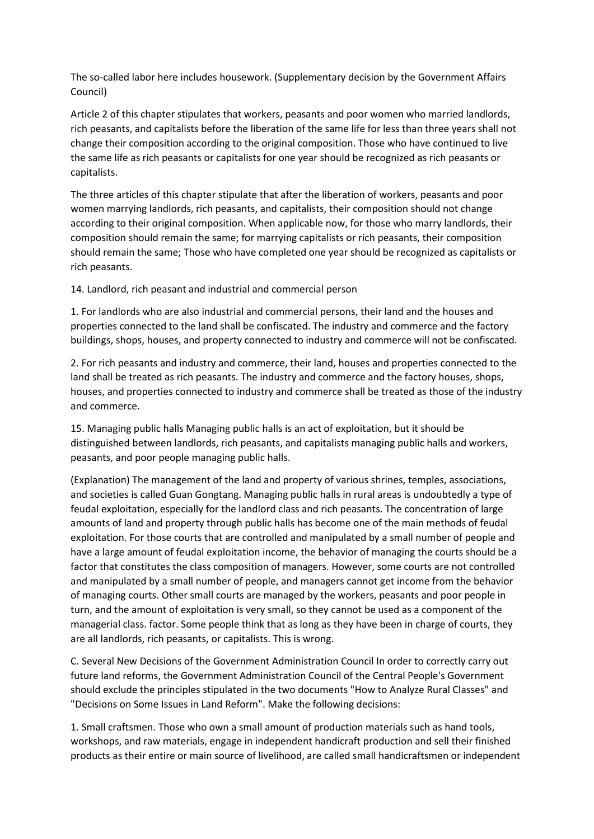The so-called labor here includes housework. (Supplementary decision by the Government Affairs Council)

Article 2 of this chapter stipulates that workers, peasants and poor women who married landlords, rich peasants, and capitalists before the liberation of the same life for less than three years shall not change their composition according to the original composition. Those who have continued to live the same life as rich peasants or capitalists for one year should be recognized as rich peasants or capitalists.

The three articles of this chapter stipulate that after the liberation of workers, peasants and poor women marrying landlords, rich peasants, and capitalists, their composition should not change according to their original composition. When applicable now, for those who marry landlords, their composition should remain the same; for marrying capitalists or rich peasants, their composition should remain the same; Those who have completed one year should be recognized as capitalists or rich peasants.

14. Landlord, rich peasant and industrial and commercial person

1. For landlords who are also industrial and commercial persons, their land and the houses and properties connected to the land shall be confiscated. The industry and commerce and the factory buildings, shops, houses, and property connected to industry and commerce will not be confiscated.

2. For rich peasants and industry and commerce, their land, houses and properties connected to the land shall be treated as rich peasants. The industry and commerce and the factory houses, shops, houses, and properties connected to industry and commerce shall be treated as those of the industry and commerce.

15. Managing public halls Managing public halls is an act of exploitation, but it should be distinguished between landlords, rich peasants, and capitalists managing public halls and workers, peasants, and poor people managing public halls.

(Explanation) The management of the land and property of various shrines, temples, associations, and societies is called Guan Gongtang. Managing public halls in rural areas is undoubtedly a type of feudal exploitation, especially for the landlord class and rich peasants. The concentration of large amounts of land and property through public halls has become one of the main methods of feudal exploitation. For those courts that are controlled and manipulated by a small number of people and have a large amount of feudal exploitation income, the behavior of managing the courts should be a factor that constitutes the class composition of managers. However, some courts are not controlled and manipulated by a small number of people, and managers cannot get income from the behavior of managing courts. Other small courts are managed by the workers, peasants and poor people in turn, and the amount of exploitation is very small, so they cannot be used as a component of the managerial class. factor. Some people think that as long as they have been in charge of courts, they are all landlords, rich peasants, or capitalists. This is wrong.

C. Several New Decisions of the Government Administration Council In order to correctly carry out future land reforms, the Government Administration Council of the Central People's Government should exclude the principles stipulated in the two documents "How to Analyze Rural Classes" and "Decisions on Some Issues in Land Reform". Make the following decisions:

1. Small craftsmen. Those who own a small amount of production materials such as hand tools, workshops, and raw materials, engage in independent handicraft production and sell their finished products as their entire or main source of livelihood, are called small handicraftsmen or independent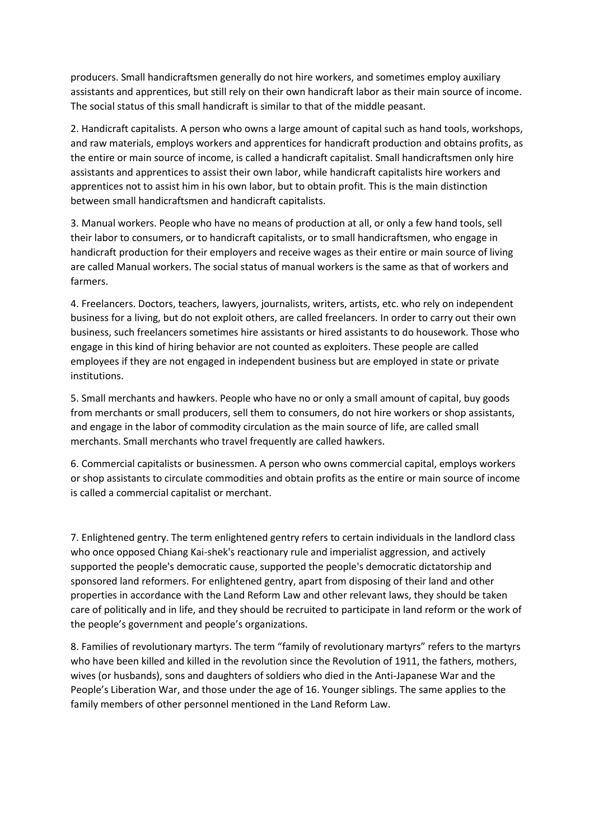producers. Small handicraftsmen generally do not hire workers, and sometimes employ auxiliary assistants and apprentices, but still rely on their own handicraft labor as their main source of income. The social status of this small handicraft is similar to that of the middle peasant.

2. Handicraft capitalists. A person who owns a large amount of capital such as hand tools, workshops, and raw materials, employs workers and apprentices for handicraft production and obtains profits, as the entire or main source of income, is called a handicraft capitalist. Small handicraftsmen only hire assistants and apprentices to assist their own labor, while handicraft capitalists hire workers and apprentices not to assist him in his own labor, but to obtain profit. This is the main distinction between small handicraftsmen and handicraft capitalists.

3. Manual workers. People who have no means of production at all, or only a few hand tools, sell their labor to consumers, or to handicraft capitalists, or to small handicraftsmen, who engage in handicraft production for their employers and receive wages as their entire or main source of living are called Manual workers. The social status of manual workers is the same as that of workers and farmers.

4. Freelancers. Doctors, teachers, lawyers, journalists, writers, artists, etc. who rely on independent business for a living, but do not exploit others, are called freelancers. In order to carry out their own business, such freelancers sometimes hire assistants or hired assistants to do housework. Those who engage in this kind of hiring behavior are not counted as exploiters. These people are called employees if they are not engaged in independent business but are employed in state or private institutions.

5. Small merchants and hawkers. People who have no or only a small amount of capital, buy goods from merchants or small producers, sell them to consumers, do not hire workers or shop assistants, and engage in the labor of commodity circulation as the main source of life, are called small merchants. Small merchants who travel frequently are called hawkers.

6. Commercial capitalists or businessmen. A person who owns commercial capital, employs workers or shop assistants to circulate commodities and obtain profits as the entire or main source of income is called a commercial capitalist or merchant.

7. Enlightened gentry. The term enlightened gentry refers to certain individuals in the landlord class who once opposed Chiang Kai-shek's reactionary rule and imperialist aggression, and actively supported the people's democratic cause, supported the people's democratic dictatorship and sponsored land reformers. For enlightened gentry, apart from disposing of their land and other properties in accordance with the Land Reform Law and other relevant laws, they should be taken care of politically and in life, and they should be recruited to participate in land reform or the work of the people's government and people's organizations.

8. Families of revolutionary martyrs. The term "family of revolutionary martyrs" refers to the martyrs who have been killed and killed in the revolution since the Revolution of 1911, the fathers, mothers, wives (or husbands), sons and daughters of soldiers who died in the Anti-Japanese War and the People's Liberation War, and those under the age of 16. Younger siblings. The same applies to the family members of other personnel mentioned in the Land Reform Law.